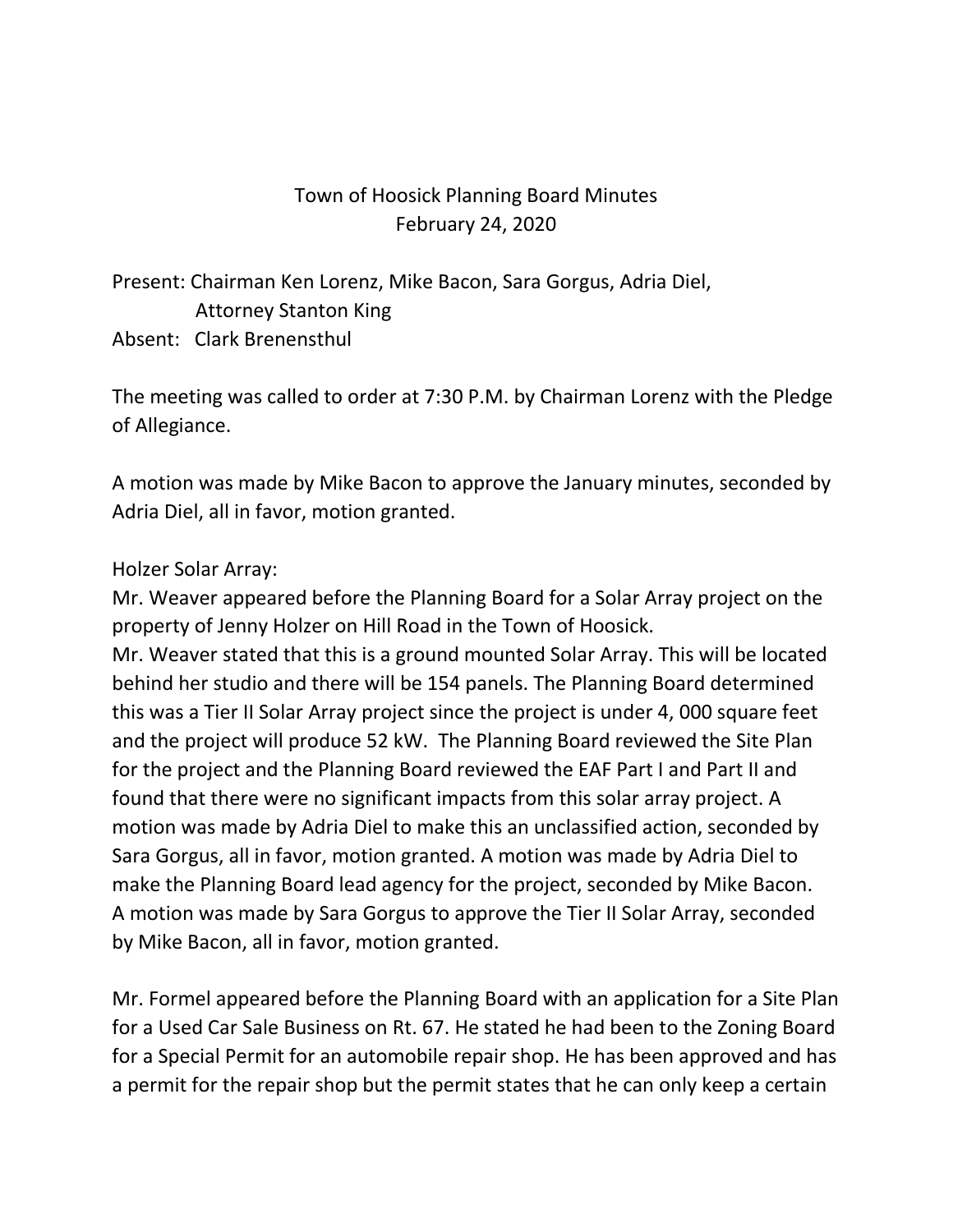## Town of Hoosick Planning Board Minutes February 24, 2020

Present: Chairman Ken Lorenz, Mike Bacon, Sara Gorgus, Adria Diel, Attorney Stanton King Absent: Clark Brenensthul

The meeting was called to order at 7:30 P.M. by Chairman Lorenz with the Pledge of Allegiance.

A motion was made by Mike Bacon to approve the January minutes, seconded by Adria Diel, all in favor, motion granted.

## Holzer Solar Array:

Mr. Weaver appeared before the Planning Board for a Solar Array project on the property of Jenny Holzer on Hill Road in the Town of Hoosick.

Mr. Weaver stated that this is a ground mounted Solar Array. This will be located behind her studio and there will be 154 panels. The Planning Board determined this was a Tier II Solar Array project since the project is under 4, 000 square feet and the project will produce 52 kW. The Planning Board reviewed the Site Plan for the project and the Planning Board reviewed the EAF Part I and Part II and found that there were no significant impacts from this solar array project. A motion was made by Adria Diel to make this an unclassified action, seconded by Sara Gorgus, all in favor, motion granted. A motion was made by Adria Diel to make the Planning Board lead agency for the project, seconded by Mike Bacon. A motion was made by Sara Gorgus to approve the Tier II Solar Array, seconded by Mike Bacon, all in favor, motion granted.

Mr. Formel appeared before the Planning Board with an application for a Site Plan for a Used Car Sale Business on Rt. 67. He stated he had been to the Zoning Board for a Special Permit for an automobile repair shop. He has been approved and has a permit for the repair shop but the permit states that he can only keep a certain